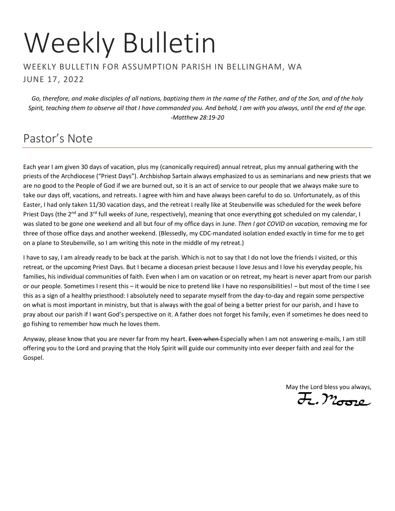# Weekly Bulletin

#### WEEKLY BULLETIN FOR ASSUMPTION PARISH IN BELLINGHAM, WA JUNE 17, 2022

*Go, therefore, and make disciples of all nations, baptizing them in the name of the Father, and of the Son, and of the holy Spirit, teaching them to observe all that I have commanded you. And behold, I am with you always, until the end of the age. -Matthew 28:19-20*

## Pastor's Note

Each year I am given 30 days of vacation, plus my (canonically required) annual retreat, plus my annual gathering with the priests of the Archdiocese ("Priest Days"). Archbishop Sartain always emphasized to us as seminarians and new priests that we are no good to the People of God if we are burned out, so it is an act of service to our people that we always make sure to take our days off, vacations, and retreats. I agree with him and have always been careful to do so. Unfortunately, as of this Easter, I had only taken 11/30 vacation days, and the retreat I really like at Steubenville was scheduled for the week before Priest Days (the 2<sup>nd</sup> and 3<sup>rd</sup> full weeks of June, respectively), meaning that once everything got scheduled on my calendar, I was slated to be gone one weekend and all but four of my office days in June. *Then I got COVID on vacation,* removing me for three of those office days and another weekend. (Blessedly, my CDC-mandated isolation ended exactly in time for me to get on a plane to Steubenville, so I am writing this note in the middle of my retreat.)

I have to say, I am already ready to be back at the parish. Which is not to say that I do not love the friends I visited, or this retreat, or the upcoming Priest Days. But I became a diocesan priest because I love Jesus and I love his everyday people, his families, his individual communities of faith. Even when I am on vacation or on retreat, my heart is never apart from our parish or our people. Sometimes I resent this – it would be nice to pretend like I have no responsibilities! – but most of the time I see this as a sign of a healthy priesthood: I absolutely need to separate myself from the day-to-day and regain some perspective on what is most important in ministry, but that is always with the goal of being a better priest for our parish, and I have to pray about our parish if I want God's perspective on it. A father does not forget his family, even if sometimes he does need to go fishing to remember how much he loves them.

Anyway, please know that you are never far from my heart. Even when Especially when I am not answering e-mails, I am still offering you to the Lord and praying that the Holy Spirit will guide our community into ever deeper faith and zeal for the Gospel.

May the Lord bless you always,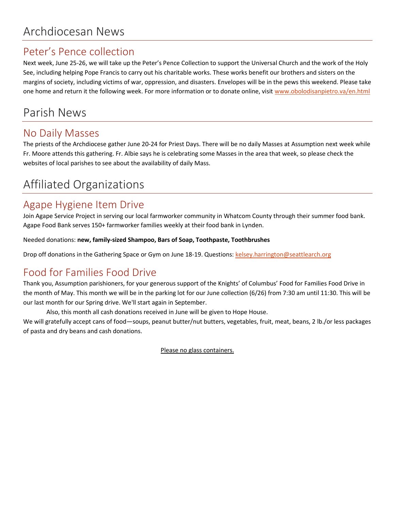## Archdiocesan News

## Peter's Pence collection

Next week, June 25-26, we will take up the Peter's Pence Collection to support the Universal Church and the work of the Holy See, including helping Pope Francis to carry out his charitable works. These works benefit our brothers and sisters on the margins of society, including victims of war, oppression, and disasters. Envelopes will be in the pews this weekend. Please take one home and return it the following week. For more information or to donate online, visi[t www.obolodisanpietro.va/en.html](http://www.obolodisanpietro.va/en.html)

## Parish News

## No Daily Masses

The priests of the Archdiocese gather June 20-24 for Priest Days. There will be no daily Masses at Assumption next week while Fr. Moore attends this gathering. Fr. Albie says he is celebrating some Masses in the area that week, so please check the websites of local parishes to see about the availability of daily Mass.

# Affiliated Organizations

## Agape Hygiene Item Drive

Join Agape Service Project in serving our local farmworker community in Whatcom County through their summer food bank. Agape Food Bank serves 150+ farmworker families weekly at their food bank in Lynden.

Needed donations: **new, family-sized Shampoo, Bars of Soap, Toothpaste, Toothbrushes**

Drop off donations in the Gathering Space or Gym on June 18-19. Questions: [kelsey.harrington@seattlearch.org](mailto:kelsey.harrington@seattlearch.org)

## Food for Families Food Drive

Thank you, Assumption parishioners, for your generous support of the Knights' of Columbus' Food for Families Food Drive in the month of May. This month we will be in the parking lot for our June collection (6/26) from 7:30 am until 11:30. This will be our last month for our Spring drive. We'll start again in September.

Also, this month all cash donations received in June will be given to Hope House.

We will gratefully accept cans of food—soups, peanut butter/nut butters, vegetables, fruit, meat, beans, 2 lb./or less packages of pasta and dry beans and cash donations.

Please no glass containers.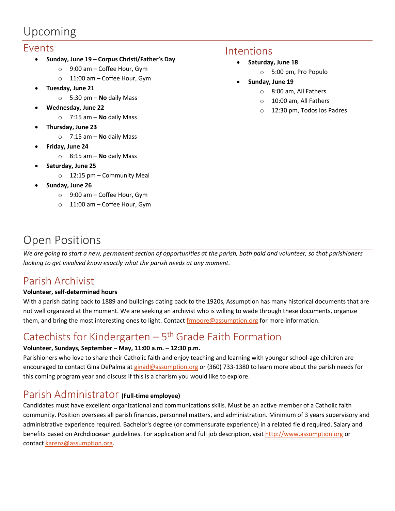## Upcoming

#### Events

- **Sunday, June 19 – Corpus Christi/Father's Day**
	- o 9:00 am Coffee Hour, Gym
	- o 11:00 am Coffee Hour, Gym
- **Tuesday, June 21**
	- o 5:30 pm **No** daily Mass
- **Wednesday, June 22**
	- o 7:15 am **No** daily Mass
- **Thursday, June 23**
	- o 7:15 am **No** daily Mass
- **Friday, June 24**
	- o 8:15 am **No** daily Mass
- **Saturday, June 25**
	- o 12:15 pm Community Meal
- **Sunday, June 26**
	- o 9:00 am Coffee Hour, Gym
	- o 11:00 am Coffee Hour, Gym

#### Intentions

- **Saturday, June 18**
	- o 5:00 pm, Pro Populo
- **Sunday, June 19**
	- o 8:00 am, All Fathers
	- o 10:00 am, All Fathers
	- o 12:30 pm, Todos los Padres

## Open Positions

*We are going to start a new, permanent section of opportunities at the parish, both paid and volunteer, so that parishioners looking to get involved know exactly what the parish needs at any moment.*

## Parish Archivist

#### **Volunteer, self-determined hours**

With a parish dating back to 1889 and buildings dating back to the 1920s, Assumption has many historical documents that are not well organized at the moment. We are seeking an archivist who is willing to wade through these documents, organize them, and bring the most interesting ones to light. Contact [frmoore@assumption.org](mailto:frmoore@assumption.org) for more information.

## Catechists for Kindergarten  $-5$ <sup>th</sup> Grade Faith Formation

#### **Volunteer, Sundays, September – May, 11:00 a.m. – 12:30 p.m.**

Parishioners who love to share their Catholic faith and enjoy teaching and learning with younger school-age children are encouraged to contact Gina DePalma at [ginad@assumption.org](mailto:ginad@assumption.org) or (360) 733-1380 to learn more about the parish needs for this coming program year and discuss if this is a charism you would like to explore.

#### Parish Administrator **(Full-time employee)**

Candidates must have excellent organizational and communications skills. Must be an active member of a Catholic faith community. Position oversees all parish finances, personnel matters, and administration. Minimum of 3 years supervisory and administrative experience required. Bachelor's degree (or commensurate experience) in a related field required. Salary and benefits based on Archdiocesan guidelines. For application and full job description, visit [http://www.assumption.org](http://www.assumption.org/) or contac[t karenz@assumption.org.](mailto:karenz@assumption.org)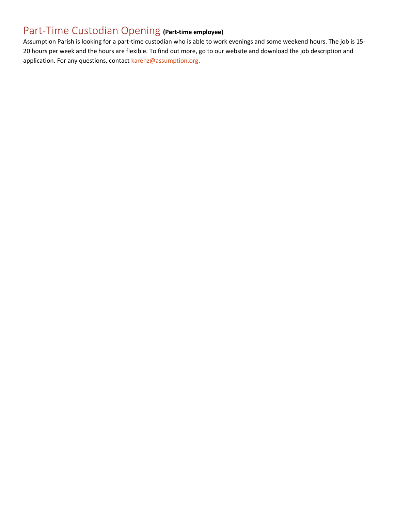## Part-Time Custodian Opening **(Part-time employee)**

Assumption Parish is looking for a part-time custodian who is able to work evenings and some weekend hours. The job is 15- 20 hours per week and the hours are flexible. To find out more, go to our website and download the job description and application. For any questions, contact [karenz@assumption.org.](mailto:karenz@assumption.org)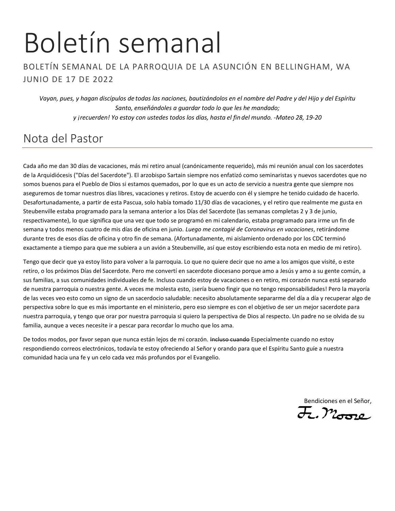# Boletín semanal

#### BOLETÍN SEMANAL DE LA PARROQUIA DE LA ASUNCIÓN EN BELLINGHAM, WA JUNIO DE 17 DE 2022

*Vayan, pues, y hagan discípulos de todas las naciones, bautizándolos en el nombre del Padre y del Hijo y del Espíritu Santo, enseñándoles a guardar todo lo que les he mandado; y ¡recuerden! Yo estoy con ustedes todos los días, hasta el fin del mundo. -Mateo 28, 19-20*

## Nota del Pastor

Cada año me dan 30 días de vacaciones, más mi retiro anual (canónicamente requerido), más mi reunión anual con los sacerdotes de la Arquidiócesis ("Días del Sacerdote"). El arzobispo Sartain siempre nos enfatizó como seminaristas y nuevos sacerdotes que no somos buenos para el Pueblo de Dios si estamos quemados, por lo que es un acto de servicio a nuestra gente que siempre nos aseguremos de tomar nuestros días libres, vacaciones y retiros. Estoy de acuerdo con él y siempre he tenido cuidado de hacerlo. Desafortunadamente, a partir de esta Pascua, solo había tomado 11/30 días de vacaciones, y el retiro que realmente me gusta en Steubenville estaba programado para la semana anterior a los Días del Sacerdote (las semanas completas 2 y 3 de junio, respectivamente), lo que significa que una vez que todo se programó en mi calendario, estaba programado para irme un fin de semana y todos menos cuatro de mis días de oficina en junio. *Luego me contagié de Coronavirus en vacaciones*, retirándome durante tres de esos días de oficina y otro fin de semana. (Afortunadamente, mi aislamiento ordenado por los CDC terminó exactamente a tiempo para que me subiera a un avión a Steubenville, así que estoy escribiendo esta nota en medio de mi retiro).

Tengo que decir que ya estoy listo para volver a la parroquia. Lo que no quiere decir que no ame a los amigos que visité, o este retiro, o los próximos Días del Sacerdote. Pero me convertí en sacerdote diocesano porque amo a Jesús y amo a su gente común, a sus familias, a sus comunidades individuales de fe. Incluso cuando estoy de vacaciones o en retiro, mi corazón nunca está separado de nuestra parroquia o nuestra gente. A veces me molesta esto, jsería bueno fingir que no tengo responsabilidades! Pero la mayoría de las veces veo esto como un signo de un sacerdocio saludable: necesito absolutamente separarme del día a día y recuperar algo de perspectiva sobre lo que es más importante en el ministerio, pero eso siempre es con el objetivo de ser un mejor sacerdote para nuestra parroquia, y tengo que orar por nuestra parroquia si quiero la perspectiva de Dios al respecto. Un padre no se olvida de su familia, aunque a veces necesite ir a pescar para recordar lo mucho que los ama.

De todos modos, por favor sepan que nunca están lejos de mi corazón. Incluso cuando Especialmente cuando no estoy respondiendo correos electrónicos, todavía te estoy ofreciendo al Señor y orando para que el Espíritu Santo guíe a nuestra comunidad hacia una fe y un celo cada vez más profundos por el Evangelio.

Bendiciones en el Señor,<br><del>J</del>., Mossic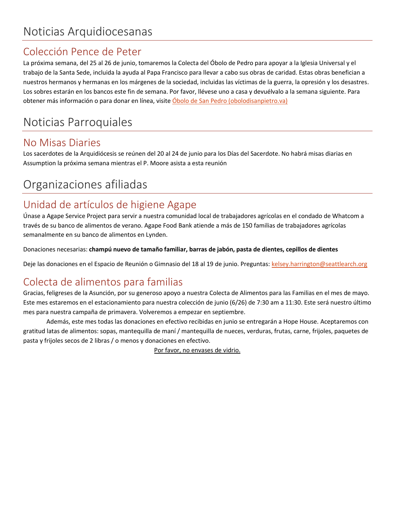## Colección Pence de Peter

La próxima semana, del 25 al 26 de junio, tomaremos la Colecta del Óbolo de Pedro para apoyar a la Iglesia Universal y el trabajo de la Santa Sede, incluida la ayuda al Papa Francisco para llevar a cabo sus obras de caridad. Estas obras benefician a nuestros hermanos y hermanas en los márgenes de la sociedad, incluidas las víctimas de la guerra, la opresión y los desastres. Los sobres estarán en los bancos este fin de semana. Por favor, llévese uno a casa y devuélvalo a la semana siguiente. Para obtener más información o para donar en línea, visite [Óbolo de San Pedro \(obolodisanpietro.va\)](https://www.obolodisanpietro.va/es.html)

# Noticias Parroquiales

## No Misas Diaries

Los sacerdotes de la Arquidiócesis se reúnen del 20 al 24 de junio para los Días del Sacerdote. No habrá misas diarias en Assumption la próxima semana mientras el P. Moore asista a esta reunión

# Organizaciones afiliadas

## Unidad de artículos de higiene Agape

Únase a Agape Service Project para servir a nuestra comunidad local de trabajadores agrícolas en el condado de Whatcom a través de su banco de alimentos de verano. Agape Food Bank atiende a más de 150 familias de trabajadores agrícolas semanalmente en su banco de alimentos en Lynden.

Donaciones necesarias: **champú nuevo de tamaño familiar, barras de jabón, pasta de dientes, cepillos de dientes**

Deje las donaciones en el Espacio de Reunión o Gimnasio del 18 al 19 de junio. Preguntas: [kelsey.harrington@seattlearch.org](mailto:kelsey.harrington@seattlearch.org)

## Colecta de alimentos para familias

Gracias, feligreses de la Asunción, por su generoso apoyo a nuestra Colecta de Alimentos para las Familias en el mes de mayo. Este mes estaremos en el estacionamiento para nuestra colección de junio (6/26) de 7:30 am a 11:30. Este será nuestro último mes para nuestra campaña de primavera. Volveremos a empezar en septiembre.

Además, este mes todas las donaciones en efectivo recibidas en junio se entregarán a Hope House. Aceptaremos con gratitud latas de alimentos: sopas, mantequilla de maní / mantequilla de nueces, verduras, frutas, carne, frijoles, paquetes de pasta y frijoles secos de 2 libras / o menos y donaciones en efectivo.

Por favor, no envases de vidrio.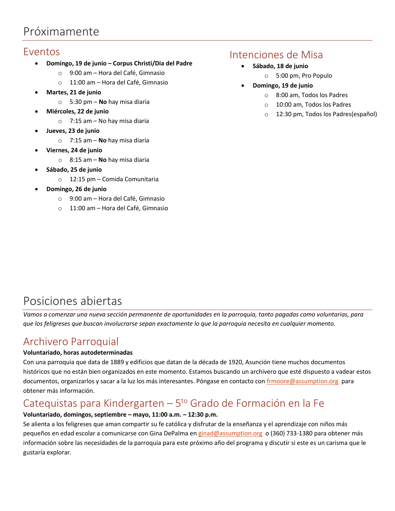## Próximamente

#### Eventos

- **Domingo, 19 de junio – Corpus Christi/Dia del Padre**
	- o 9:00 am Hora del Café, Gimnasio
	- o 11:00 am Hora del Café, Gimnasio
- **Martes, 21 de junio**
	- o 5:30 pm **No** hay misa diaria
- **Miércoles, 22 de junio**
	- $\circ$  7:15 am No hay misa diaria
- **Jueves, 23 de junio**
	- o 7:15 am **No** hay misa diaria
- **Viernes, 24 de junio**
	- o 8:15 am **No** hay misa diaria
- **Sábado, 25 de junio**
	- o 12:15 pm Comida Comunitaria
- **Domingo, 26 de junio**
	- o 9:00 am Hora del Café, Gimnasio
	- o 11:00 am Hora del Café, Gimnasio

#### Intenciones de Misa

- **Sábado, 18 de junio** 
	- o 5:00 pm, Pro Populo
- **Domingo, 19 de junio**
	- o 8:00 am, Todos los Padres
	- o 10:00 am, Todos los Padres
	- o 12:30 pm, Todos los Padres(español)

## Posiciones abiertas

*Vamos a comenzar una nueva sección permanente de oportunidades en la parroquia, tanto pagadas como voluntarias, para que los feligreses que buscan involucrarse sepan exactamente lo que la parroquia necesita en cualquier momento.*

## Archivero Parroquial

#### **Voluntariado, horas autodeterminadas**

Con una parroquia que data de 1889 y edificios que datan de la década de 1920, Asunción tiene muchos documentos históricos que no están bien organizados en este momento. Estamos buscando un archivero que esté dispuesto a vadear estos documentos, organizarlos y sacar a la luz los más interesantes. Póngase en contacto co[n frmoore@assumption.org](mailto:frmoore@assumption.org) para obtener más información.

## Catequistas para Kindergarten - 5<sup>to</sup> Grado de Formación en la Fe

#### **Voluntariado, domingos, septiembre – mayo, 11:00 a.m. – 12:30 p.m.**

Se alienta a los feligreses que aman compartir su fe católica y disfrutar de la enseñanza y el aprendizaje con niños más pequeños en edad escolar a comunicarse con Gina DePalma e[n ginad@assumption.org](mailto:ginad@assumption.org) o (360) 733-1380 para obtener más información sobre las necesidades de la parroquia para este próximo año del programa y discutir si este es un carisma que le gustaría explorar.